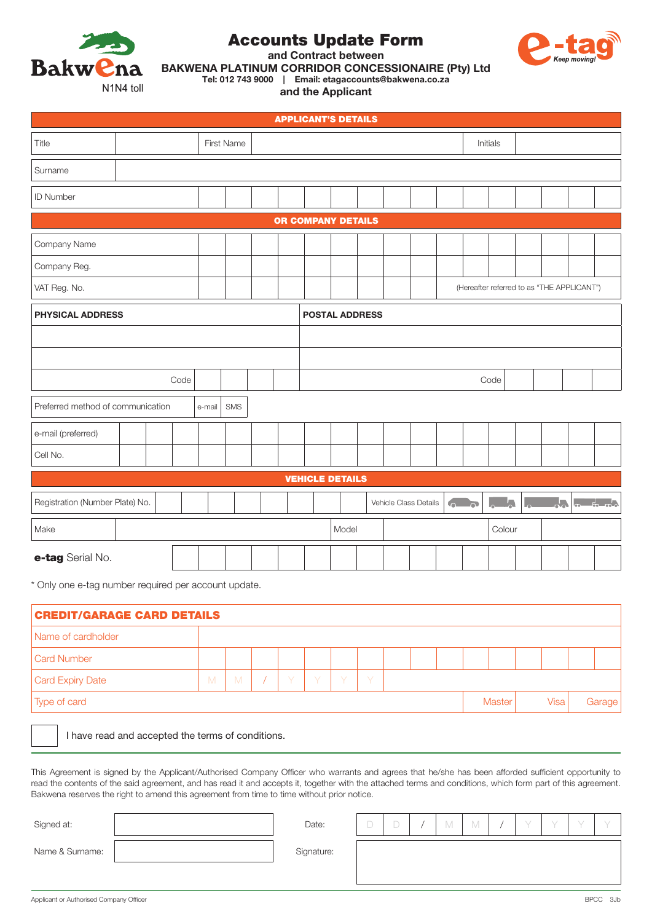

# Accounts Update Form



and Contract between

BAKWENA PLATINUM CORRIDOR CONCESSIONAIRE (Pty) Ltd

Tel: 012 743 9000 | Email: etagaccounts@bakwena.co.za

and the Applicant

| <b>APPLICANT'S DETAILS</b>                         |  |  |  |            |  |  |                       |  |  |  |                       |  |  |                                            |                           |  |                                                           |  |
|----------------------------------------------------|--|--|--|------------|--|--|-----------------------|--|--|--|-----------------------|--|--|--------------------------------------------|---------------------------|--|-----------------------------------------------------------|--|
| Title                                              |  |  |  | First Name |  |  |                       |  |  |  |                       |  |  | Initials                                   |                           |  |                                                           |  |
| Surname                                            |  |  |  |            |  |  |                       |  |  |  |                       |  |  |                                            |                           |  |                                                           |  |
| ID Number                                          |  |  |  |            |  |  |                       |  |  |  |                       |  |  |                                            |                           |  |                                                           |  |
| OR COMPANY DETAILS                                 |  |  |  |            |  |  |                       |  |  |  |                       |  |  |                                            |                           |  |                                                           |  |
| Company Name                                       |  |  |  |            |  |  |                       |  |  |  |                       |  |  |                                            |                           |  |                                                           |  |
| Company Reg.                                       |  |  |  |            |  |  |                       |  |  |  |                       |  |  |                                            |                           |  |                                                           |  |
| VAT Reg. No.                                       |  |  |  |            |  |  |                       |  |  |  |                       |  |  | (Hereafter referred to as "THE APPLICANT") |                           |  |                                                           |  |
| <b>PHYSICAL ADDRESS</b>                            |  |  |  |            |  |  | <b>POSTAL ADDRESS</b> |  |  |  |                       |  |  |                                            |                           |  |                                                           |  |
|                                                    |  |  |  |            |  |  |                       |  |  |  |                       |  |  |                                            |                           |  |                                                           |  |
|                                                    |  |  |  |            |  |  |                       |  |  |  |                       |  |  |                                            |                           |  |                                                           |  |
| Code                                               |  |  |  |            |  |  |                       |  |  |  |                       |  |  | Code                                       |                           |  |                                                           |  |
| Preferred method of communication<br>SMS<br>e-mail |  |  |  |            |  |  |                       |  |  |  |                       |  |  |                                            |                           |  |                                                           |  |
| e-mail (preferred)                                 |  |  |  |            |  |  |                       |  |  |  |                       |  |  |                                            |                           |  |                                                           |  |
| Cell No.                                           |  |  |  |            |  |  |                       |  |  |  |                       |  |  |                                            |                           |  |                                                           |  |
| <b>VEHICLE DETAILS</b>                             |  |  |  |            |  |  |                       |  |  |  |                       |  |  |                                            |                           |  |                                                           |  |
| Registration (Number Plate) No.                    |  |  |  |            |  |  |                       |  |  |  | Vehicle Class Details |  |  | $\mathbf{L}_{\mathbf{c}}$<br>$L_{\odot}$   | $\mathsf{L}_{\mathsf{O}}$ |  | $\mathbf{F}$ , $\mathbf{F}$ , $\mathbf{F}$ , $\mathbf{F}$ |  |
| Make                                               |  |  |  |            |  |  | Model<br>Colour       |  |  |  |                       |  |  |                                            |                           |  |                                                           |  |
| e-tag Serial No.                                   |  |  |  |            |  |  |                       |  |  |  |                       |  |  |                                            |                           |  |                                                           |  |

\* Only one e-tag number required per account update.

| <b>CREDIT/GARAGE CARD DETAILS</b> |   |   |  |    |        |              |        |  |  |  |               |      |        |  |
|-----------------------------------|---|---|--|----|--------|--------------|--------|--|--|--|---------------|------|--------|--|
| Name of cardholder                |   |   |  |    |        |              |        |  |  |  |               |      |        |  |
| <b>Card Number</b>                |   |   |  |    |        |              |        |  |  |  |               |      |        |  |
| <b>Card Expiry Date</b>           | M | M |  | Y. | $\vee$ | <sup>V</sup> | $\vee$ |  |  |  |               |      |        |  |
| Type of card                      |   |   |  |    |        |              |        |  |  |  | <b>Master</b> | Visa | Garage |  |

I have read and accepted the terms of conditions.

This Agreement is signed by the Applicant/Authorised Company Officer who warrants and agrees that he/she has been afforded sufficient opportunity to read the contents of the said agreement, and has read it and accepts it, together with the attached terms and conditions, which form part of this agreement. Bakwena reserves the right to amend this agreement from time to time without prior notice.

| Signed at:      | Date:      | <b>STATE</b> | IV. | $\vee$ | $\overline{\phantom{a}}$ |  |  |
|-----------------|------------|--------------|-----|--------|--------------------------|--|--|
| Name & Surname: | Signature: |              |     |        |                          |  |  |
|                 |            |              |     |        |                          |  |  |